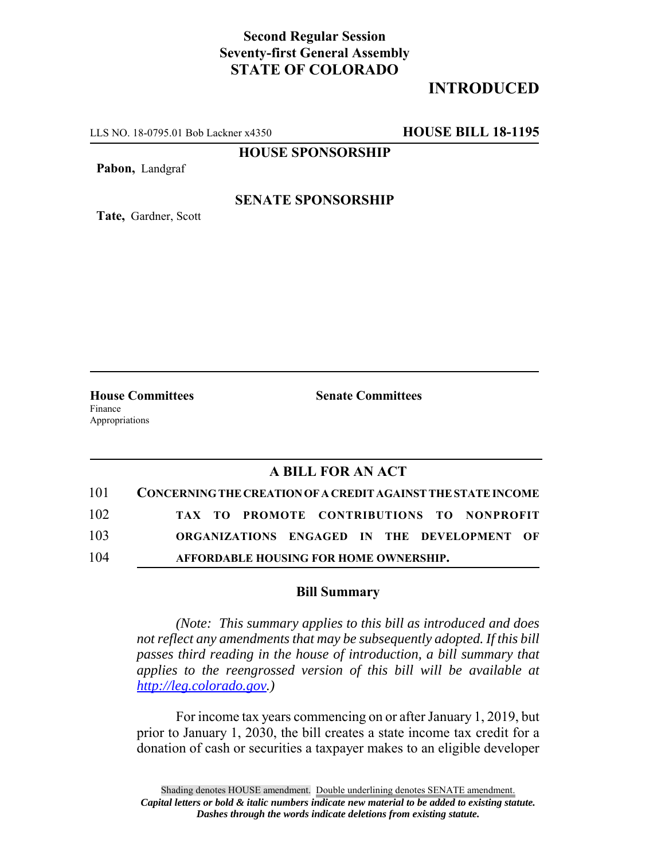## **Second Regular Session Seventy-first General Assembly STATE OF COLORADO**

# **INTRODUCED**

LLS NO. 18-0795.01 Bob Lackner x4350 **HOUSE BILL 18-1195**

**HOUSE SPONSORSHIP**

**Pabon,** Landgraf

**Tate,** Gardner, Scott

### **SENATE SPONSORSHIP**

**House Committees Senate Committees** Finance

Appropriations

### **A BILL FOR AN ACT**

| 101 | <b>CONCERNING THE CREATION OF A CREDIT AGAINST THE STATE INCOME</b> |
|-----|---------------------------------------------------------------------|
| 102 | TAX TO PROMOTE CONTRIBUTIONS TO NONPROFIT                           |
| 103 | ORGANIZATIONS ENGAGED IN THE DEVELOPMENT OF                         |
| 104 | AFFORDABLE HOUSING FOR HOME OWNERSHIP.                              |

#### **Bill Summary**

*(Note: This summary applies to this bill as introduced and does not reflect any amendments that may be subsequently adopted. If this bill passes third reading in the house of introduction, a bill summary that applies to the reengrossed version of this bill will be available at http://leg.colorado.gov.)*

For income tax years commencing on or after January 1, 2019, but prior to January 1, 2030, the bill creates a state income tax credit for a donation of cash or securities a taxpayer makes to an eligible developer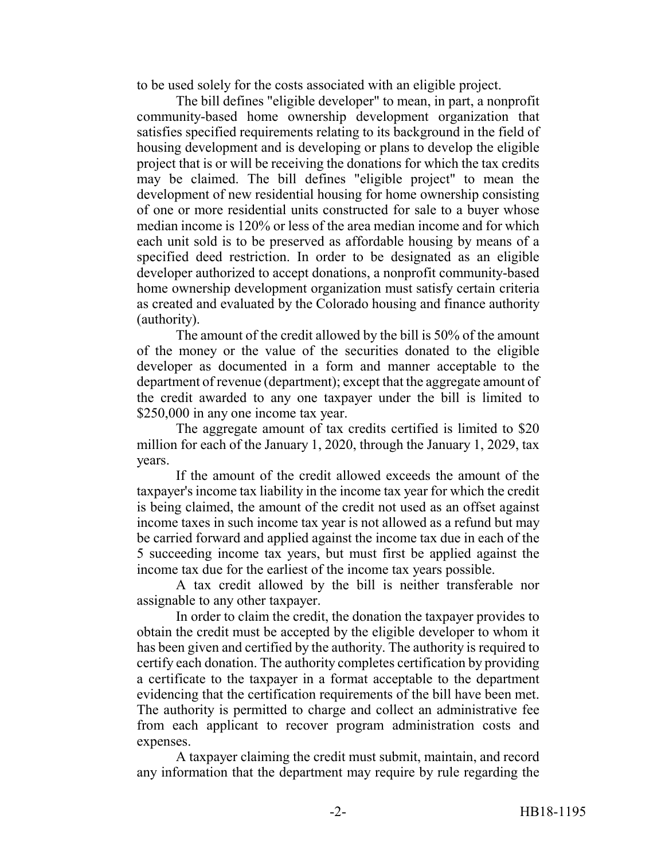to be used solely for the costs associated with an eligible project.

The bill defines "eligible developer" to mean, in part, a nonprofit community-based home ownership development organization that satisfies specified requirements relating to its background in the field of housing development and is developing or plans to develop the eligible project that is or will be receiving the donations for which the tax credits may be claimed. The bill defines "eligible project" to mean the development of new residential housing for home ownership consisting of one or more residential units constructed for sale to a buyer whose median income is 120% or less of the area median income and for which each unit sold is to be preserved as affordable housing by means of a specified deed restriction. In order to be designated as an eligible developer authorized to accept donations, a nonprofit community-based home ownership development organization must satisfy certain criteria as created and evaluated by the Colorado housing and finance authority (authority).

The amount of the credit allowed by the bill is 50% of the amount of the money or the value of the securities donated to the eligible developer as documented in a form and manner acceptable to the department of revenue (department); except that the aggregate amount of the credit awarded to any one taxpayer under the bill is limited to \$250,000 in any one income tax year.

The aggregate amount of tax credits certified is limited to \$20 million for each of the January 1, 2020, through the January 1, 2029, tax years.

If the amount of the credit allowed exceeds the amount of the taxpayer's income tax liability in the income tax year for which the credit is being claimed, the amount of the credit not used as an offset against income taxes in such income tax year is not allowed as a refund but may be carried forward and applied against the income tax due in each of the 5 succeeding income tax years, but must first be applied against the income tax due for the earliest of the income tax years possible.

A tax credit allowed by the bill is neither transferable nor assignable to any other taxpayer.

In order to claim the credit, the donation the taxpayer provides to obtain the credit must be accepted by the eligible developer to whom it has been given and certified by the authority. The authority is required to certify each donation. The authority completes certification by providing a certificate to the taxpayer in a format acceptable to the department evidencing that the certification requirements of the bill have been met. The authority is permitted to charge and collect an administrative fee from each applicant to recover program administration costs and expenses.

A taxpayer claiming the credit must submit, maintain, and record any information that the department may require by rule regarding the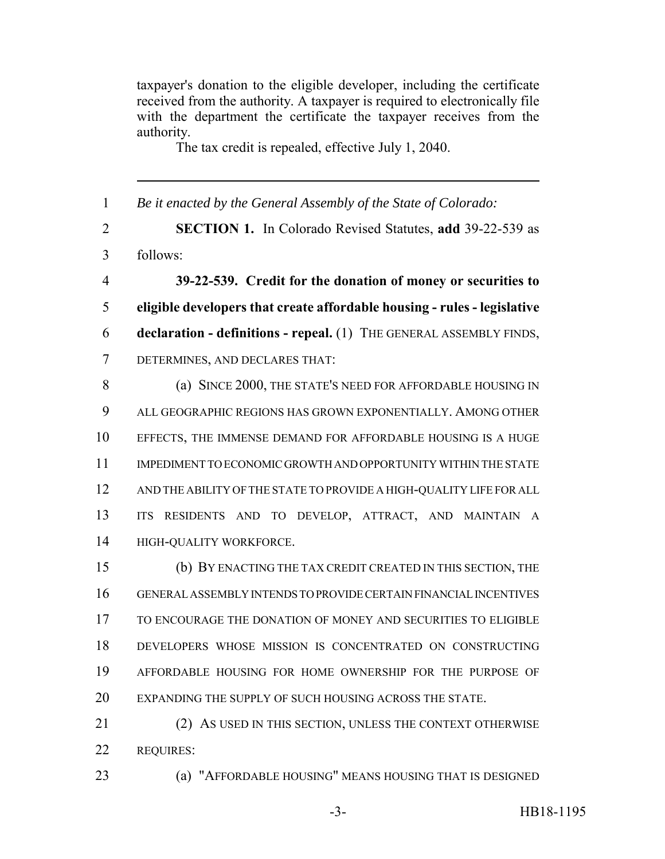taxpayer's donation to the eligible developer, including the certificate received from the authority. A taxpayer is required to electronically file with the department the certificate the taxpayer receives from the authority.

The tax credit is repealed, effective July 1, 2040.

| $\mathbf{1}$   | Be it enacted by the General Assembly of the State of Colorado:               |
|----------------|-------------------------------------------------------------------------------|
| $\overline{2}$ | <b>SECTION 1.</b> In Colorado Revised Statutes, add 39-22-539 as              |
| 3              | follows:                                                                      |
| $\overline{4}$ | 39-22-539. Credit for the donation of money or securities to                  |
| 5              | eligible developers that create affordable housing - rules - legislative      |
| 6              | declaration - definitions - repeal. (1) THE GENERAL ASSEMBLY FINDS,           |
| $\overline{7}$ | DETERMINES, AND DECLARES THAT:                                                |
| 8              | (a) SINCE 2000, THE STATE'S NEED FOR AFFORDABLE HOUSING IN                    |
| 9              | ALL GEOGRAPHIC REGIONS HAS GROWN EXPONENTIALLY. AMONG OTHER                   |
| 10             | EFFECTS, THE IMMENSE DEMAND FOR AFFORDABLE HOUSING IS A HUGE                  |
| 11             | IMPEDIMENT TO ECONOMIC GROWTH AND OPPORTUNITY WITHIN THE STATE                |
| 12             | AND THE ABILITY OF THE STATE TO PROVIDE A HIGH-QUALITY LIFE FOR ALL           |
| 13             | <b>ITS</b><br>RESIDENTS AND TO DEVELOP, ATTRACT, AND MAINTAIN<br>$\mathbf{A}$ |
| 14             | HIGH-QUALITY WORKFORCE.                                                       |
| 15             | (b) BY ENACTING THE TAX CREDIT CREATED IN THIS SECTION, THE                   |
| 16             | GENERAL ASSEMBLY INTENDS TO PROVIDE CERTAIN FINANCIAL INCENTIVES              |
| 17             | TO ENCOURAGE THE DONATION OF MONEY AND SECURITIES TO ELIGIBLE                 |
| 18             | DEVELOPERS WHOSE MISSION IS CONCENTRATED ON CONSTRUCTING                      |
| 19             | AFFORDABLE HOUSING FOR HOME OWNERSHIP FOR THE PURPOSE OF                      |
| 20             | EXPANDING THE SUPPLY OF SUCH HOUSING ACROSS THE STATE.                        |
| 21             | (2) AS USED IN THIS SECTION, UNLESS THE CONTEXT OTHERWISE                     |
| 22             | <b>REQUIRES:</b>                                                              |

(a) "AFFORDABLE HOUSING" MEANS HOUSING THAT IS DESIGNED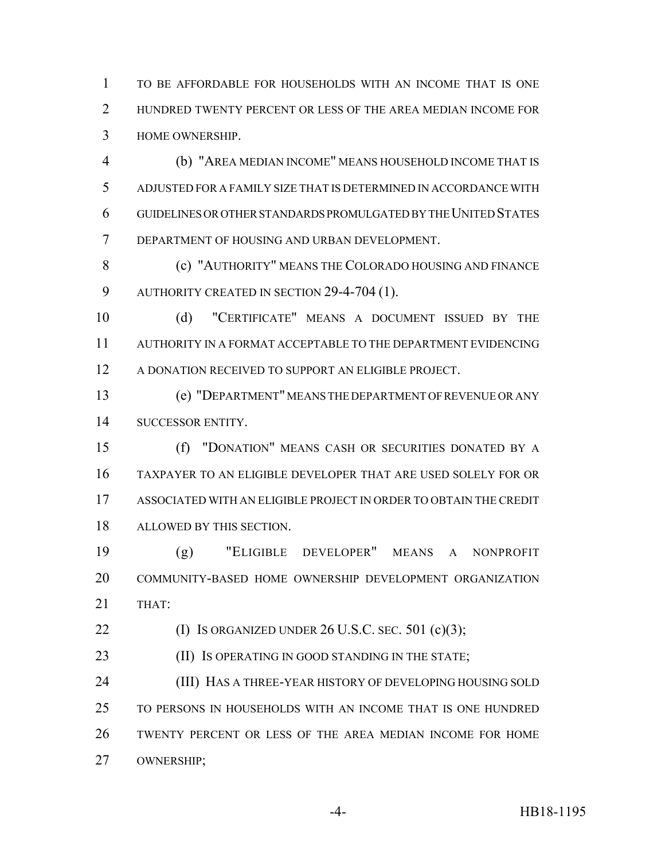TO BE AFFORDABLE FOR HOUSEHOLDS WITH AN INCOME THAT IS ONE 2 HUNDRED TWENTY PERCENT OR LESS OF THE AREA MEDIAN INCOME FOR HOME OWNERSHIP.

 (b) "AREA MEDIAN INCOME" MEANS HOUSEHOLD INCOME THAT IS ADJUSTED FOR A FAMILY SIZE THAT IS DETERMINED IN ACCORDANCE WITH GUIDELINES OR OTHER STANDARDS PROMULGATED BY THE UNITED STATES DEPARTMENT OF HOUSING AND URBAN DEVELOPMENT.

**(c) "AUTHORITY" MEANS THE COLORADO HOUSING AND FINANCE** AUTHORITY CREATED IN SECTION 29-4-704 (1).

 (d) "CERTIFICATE" MEANS A DOCUMENT ISSUED BY THE AUTHORITY IN A FORMAT ACCEPTABLE TO THE DEPARTMENT EVIDENCING A DONATION RECEIVED TO SUPPORT AN ELIGIBLE PROJECT.

 (e) "DEPARTMENT" MEANS THE DEPARTMENT OF REVENUE OR ANY SUCCESSOR ENTITY.

 (f) "DONATION" MEANS CASH OR SECURITIES DONATED BY A TAXPAYER TO AN ELIGIBLE DEVELOPER THAT ARE USED SOLELY FOR OR ASSOCIATED WITH AN ELIGIBLE PROJECT IN ORDER TO OBTAIN THE CREDIT ALLOWED BY THIS SECTION.

 (g) "ELIGIBLE DEVELOPER" MEANS A NONPROFIT COMMUNITY-BASED HOME OWNERSHIP DEVELOPMENT ORGANIZATION THAT:

22 (I) IS ORGANIZED UNDER U.S.C. SEC. 501 (c)(3);

23 (II) IS OPERATING IN GOOD STANDING IN THE STATE;

 (III) HAS A THREE-YEAR HISTORY OF DEVELOPING HOUSING SOLD TO PERSONS IN HOUSEHOLDS WITH AN INCOME THAT IS ONE HUNDRED TWENTY PERCENT OR LESS OF THE AREA MEDIAN INCOME FOR HOME OWNERSHIP;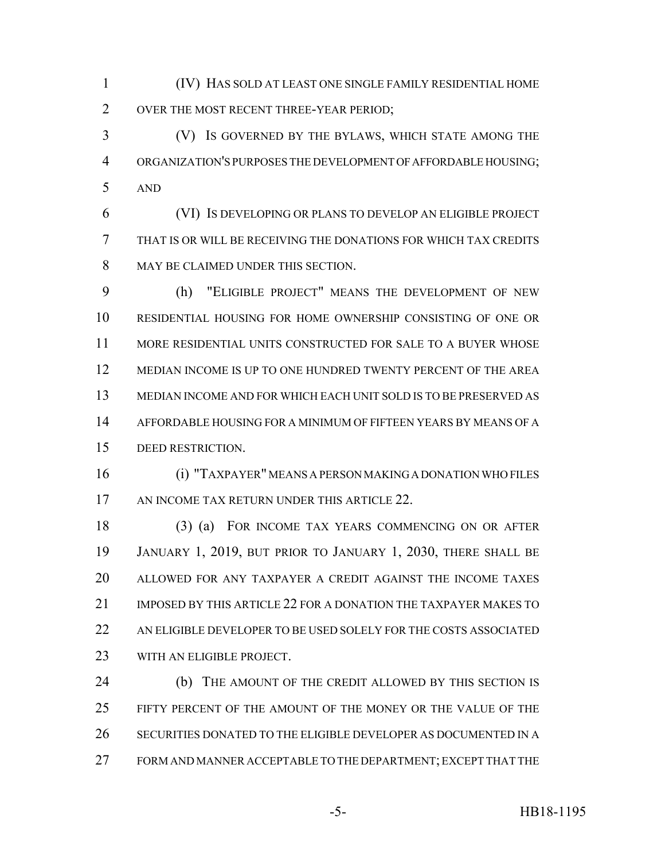(IV) HAS SOLD AT LEAST ONE SINGLE FAMILY RESIDENTIAL HOME OVER THE MOST RECENT THREE-YEAR PERIOD;

 (V) IS GOVERNED BY THE BYLAWS, WHICH STATE AMONG THE ORGANIZATION'S PURPOSES THE DEVELOPMENT OF AFFORDABLE HOUSING; AND

 (VI) IS DEVELOPING OR PLANS TO DEVELOP AN ELIGIBLE PROJECT THAT IS OR WILL BE RECEIVING THE DONATIONS FOR WHICH TAX CREDITS 8 MAY BE CLAIMED UNDER THIS SECTION.

 (h) "ELIGIBLE PROJECT" MEANS THE DEVELOPMENT OF NEW RESIDENTIAL HOUSING FOR HOME OWNERSHIP CONSISTING OF ONE OR MORE RESIDENTIAL UNITS CONSTRUCTED FOR SALE TO A BUYER WHOSE MEDIAN INCOME IS UP TO ONE HUNDRED TWENTY PERCENT OF THE AREA MEDIAN INCOME AND FOR WHICH EACH UNIT SOLD IS TO BE PRESERVED AS AFFORDABLE HOUSING FOR A MINIMUM OF FIFTEEN YEARS BY MEANS OF A DEED RESTRICTION.

 (i) "TAXPAYER" MEANS A PERSON MAKING A DONATION WHO FILES 17 AN INCOME TAX RETURN UNDER THIS ARTICLE 22.

 (3) (a) FOR INCOME TAX YEARS COMMENCING ON OR AFTER JANUARY 1, 2019, BUT PRIOR TO JANUARY 1, 2030, THERE SHALL BE ALLOWED FOR ANY TAXPAYER A CREDIT AGAINST THE INCOME TAXES IMPOSED BY THIS ARTICLE 22 FOR A DONATION THE TAXPAYER MAKES TO AN ELIGIBLE DEVELOPER TO BE USED SOLELY FOR THE COSTS ASSOCIATED WITH AN ELIGIBLE PROJECT.

 (b) THE AMOUNT OF THE CREDIT ALLOWED BY THIS SECTION IS FIFTY PERCENT OF THE AMOUNT OF THE MONEY OR THE VALUE OF THE SECURITIES DONATED TO THE ELIGIBLE DEVELOPER AS DOCUMENTED IN A FORM AND MANNER ACCEPTABLE TO THE DEPARTMENT; EXCEPT THAT THE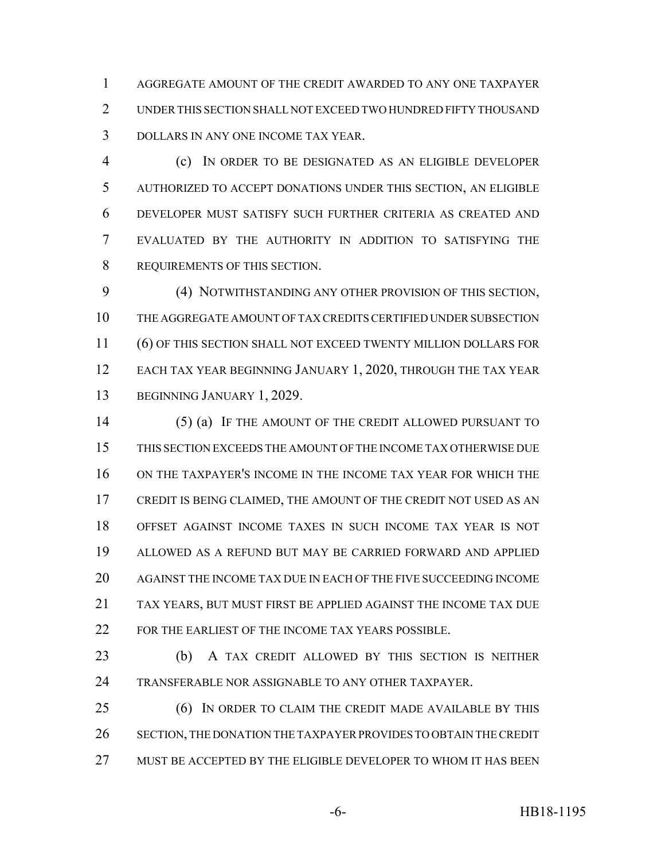AGGREGATE AMOUNT OF THE CREDIT AWARDED TO ANY ONE TAXPAYER UNDER THIS SECTION SHALL NOT EXCEED TWO HUNDRED FIFTY THOUSAND DOLLARS IN ANY ONE INCOME TAX YEAR.

 (c) IN ORDER TO BE DESIGNATED AS AN ELIGIBLE DEVELOPER AUTHORIZED TO ACCEPT DONATIONS UNDER THIS SECTION, AN ELIGIBLE DEVELOPER MUST SATISFY SUCH FURTHER CRITERIA AS CREATED AND EVALUATED BY THE AUTHORITY IN ADDITION TO SATISFYING THE REQUIREMENTS OF THIS SECTION.

 (4) NOTWITHSTANDING ANY OTHER PROVISION OF THIS SECTION, THE AGGREGATE AMOUNT OF TAX CREDITS CERTIFIED UNDER SUBSECTION (6) OF THIS SECTION SHALL NOT EXCEED TWENTY MILLION DOLLARS FOR 12 EACH TAX YEAR BEGINNING JANUARY 1, 2020, THROUGH THE TAX YEAR BEGINNING JANUARY 1, 2029.

 (5) (a) IF THE AMOUNT OF THE CREDIT ALLOWED PURSUANT TO THIS SECTION EXCEEDS THE AMOUNT OF THE INCOME TAX OTHERWISE DUE ON THE TAXPAYER'S INCOME IN THE INCOME TAX YEAR FOR WHICH THE CREDIT IS BEING CLAIMED, THE AMOUNT OF THE CREDIT NOT USED AS AN OFFSET AGAINST INCOME TAXES IN SUCH INCOME TAX YEAR IS NOT ALLOWED AS A REFUND BUT MAY BE CARRIED FORWARD AND APPLIED AGAINST THE INCOME TAX DUE IN EACH OF THE FIVE SUCCEEDING INCOME TAX YEARS, BUT MUST FIRST BE APPLIED AGAINST THE INCOME TAX DUE FOR THE EARLIEST OF THE INCOME TAX YEARS POSSIBLE.

 (b) A TAX CREDIT ALLOWED BY THIS SECTION IS NEITHER TRANSFERABLE NOR ASSIGNABLE TO ANY OTHER TAXPAYER.

 (6) IN ORDER TO CLAIM THE CREDIT MADE AVAILABLE BY THIS SECTION, THE DONATION THE TAXPAYER PROVIDES TO OBTAIN THE CREDIT MUST BE ACCEPTED BY THE ELIGIBLE DEVELOPER TO WHOM IT HAS BEEN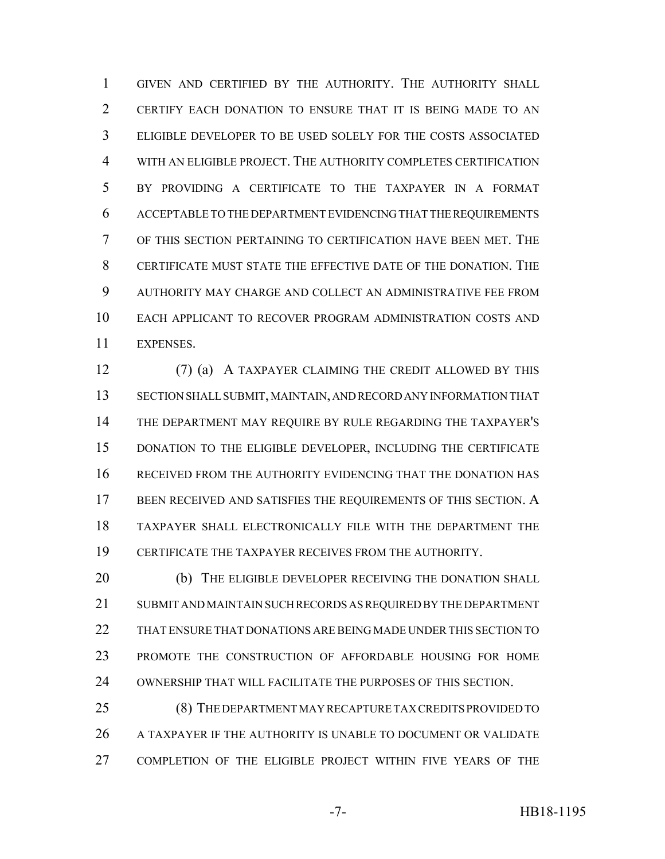GIVEN AND CERTIFIED BY THE AUTHORITY. THE AUTHORITY SHALL CERTIFY EACH DONATION TO ENSURE THAT IT IS BEING MADE TO AN ELIGIBLE DEVELOPER TO BE USED SOLELY FOR THE COSTS ASSOCIATED WITH AN ELIGIBLE PROJECT. THE AUTHORITY COMPLETES CERTIFICATION BY PROVIDING A CERTIFICATE TO THE TAXPAYER IN A FORMAT ACCEPTABLE TO THE DEPARTMENT EVIDENCING THAT THE REQUIREMENTS OF THIS SECTION PERTAINING TO CERTIFICATION HAVE BEEN MET. THE CERTIFICATE MUST STATE THE EFFECTIVE DATE OF THE DONATION. THE AUTHORITY MAY CHARGE AND COLLECT AN ADMINISTRATIVE FEE FROM EACH APPLICANT TO RECOVER PROGRAM ADMINISTRATION COSTS AND EXPENSES.

 (7) (a) A TAXPAYER CLAIMING THE CREDIT ALLOWED BY THIS SECTION SHALL SUBMIT, MAINTAIN, AND RECORD ANY INFORMATION THAT THE DEPARTMENT MAY REQUIRE BY RULE REGARDING THE TAXPAYER'S DONATION TO THE ELIGIBLE DEVELOPER, INCLUDING THE CERTIFICATE RECEIVED FROM THE AUTHORITY EVIDENCING THAT THE DONATION HAS BEEN RECEIVED AND SATISFIES THE REQUIREMENTS OF THIS SECTION. A TAXPAYER SHALL ELECTRONICALLY FILE WITH THE DEPARTMENT THE CERTIFICATE THE TAXPAYER RECEIVES FROM THE AUTHORITY.

20 (b) THE ELIGIBLE DEVELOPER RECEIVING THE DONATION SHALL SUBMIT AND MAINTAIN SUCH RECORDS AS REQUIRED BY THE DEPARTMENT THAT ENSURE THAT DONATIONS ARE BEING MADE UNDER THIS SECTION TO PROMOTE THE CONSTRUCTION OF AFFORDABLE HOUSING FOR HOME OWNERSHIP THAT WILL FACILITATE THE PURPOSES OF THIS SECTION.

 (8) THE DEPARTMENT MAY RECAPTURE TAX CREDITS PROVIDED TO 26 A TAXPAYER IF THE AUTHORITY IS UNABLE TO DOCUMENT OR VALIDATE COMPLETION OF THE ELIGIBLE PROJECT WITHIN FIVE YEARS OF THE